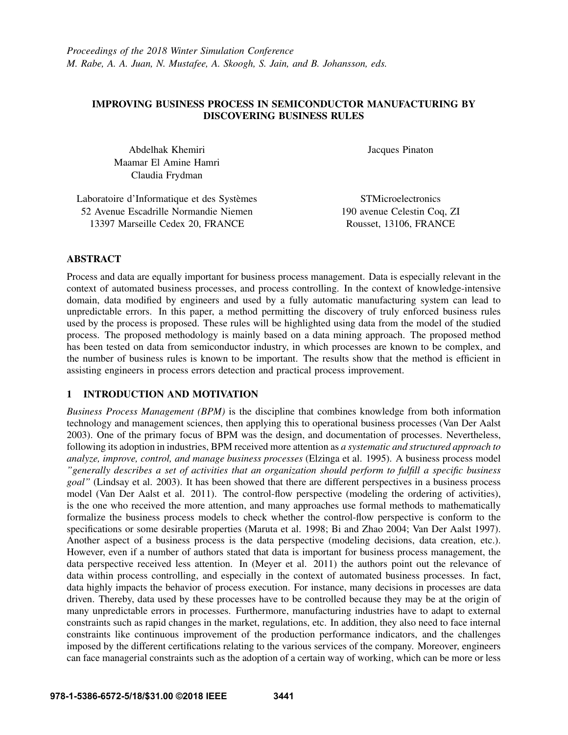## IMPROVING BUSINESS PROCESS IN SEMICONDUCTOR MANUFACTURING BY DISCOVERING BUSINESS RULES

Abdelhak Khemiri Maamar El Amine Hamri Claudia Frydman

Jacques Pinaton

Laboratoire d'Informatique et des Systèmes 52 Avenue Escadrille Normandie Niemen 13397 Marseille Cedex 20, FRANCE **STMicroelectronics** 190 avenue Celestin Coq, ZI Rousset, 13106, FRANCE

## ABSTRACT

Process and data are equally important for business process management. Data is especially relevant in the context of automated business processes, and process controlling. In the context of knowledge-intensive domain, data modified by engineers and used by a fully automatic manufacturing system can lead to unpredictable errors. In this paper, a method permitting the discovery of truly enforced business rules used by the process is proposed. These rules will be highlighted using data from the model of the studied process. The proposed methodology is mainly based on a data mining approach. The proposed method has been tested on data from semiconductor industry, in which processes are known to be complex, and the number of business rules is known to be important. The results show that the method is efficient in assisting engineers in process errors detection and practical process improvement.

## 1 INTRODUCTION AND MOTIVATION

*Business Process Management (BPM)* is the discipline that combines knowledge from both information technology and management sciences, then applying this to operational business processes (Van Der Aalst 2003). One of the primary focus of BPM was the design, and documentation of processes. Nevertheless, following its adoption in industries, BPM received more attention as *a systematic and structured approach to analyze, improve, control, and manage business processes* (Elzinga et al. 1995). A business process model *"generally describes a set of activities that an organization should perform to fulfill a specific business goal"* (Lindsay et al. 2003). It has been showed that there are different perspectives in a business process model (Van Der Aalst et al. 2011). The control-flow perspective (modeling the ordering of activities), is the one who received the more attention, and many approaches use formal methods to mathematically formalize the business process models to check whether the control-flow perspective is conform to the specifications or some desirable properties (Maruta et al. 1998; Bi and Zhao 2004; Van Der Aalst 1997). Another aspect of a business process is the data perspective (modeling decisions, data creation, etc.). However, even if a number of authors stated that data is important for business process management, the data perspective received less attention. In (Meyer et al. 2011) the authors point out the relevance of data within process controlling, and especially in the context of automated business processes. In fact, data highly impacts the behavior of process execution. For instance, many decisions in processes are data driven. Thereby, data used by these processes have to be controlled because they may be at the origin of many unpredictable errors in processes. Furthermore, manufacturing industries have to adapt to external constraints such as rapid changes in the market, regulations, etc. In addition, they also need to face internal constraints like continuous improvement of the production performance indicators, and the challenges imposed by the different certifications relating to the various services of the company. Moreover, engineers can face managerial constraints such as the adoption of a certain way of working, which can be more or less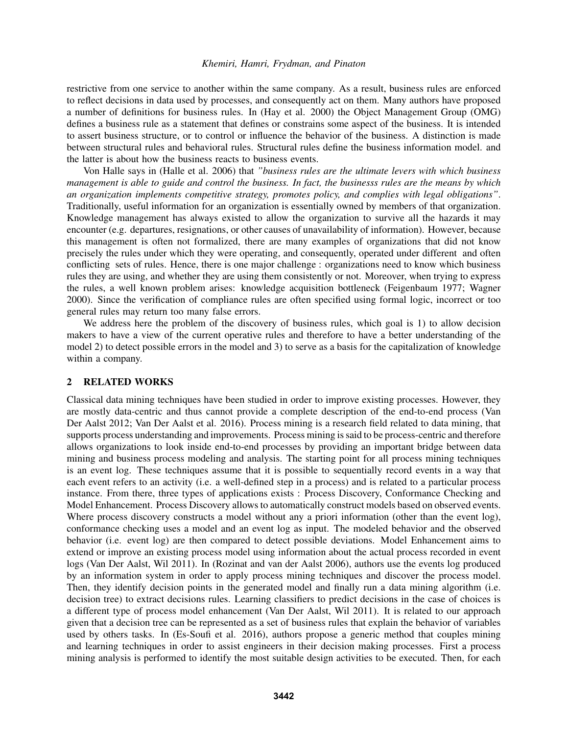restrictive from one service to another within the same company. As a result, business rules are enforced to reflect decisions in data used by processes, and consequently act on them. Many authors have proposed a number of definitions for business rules. In (Hay et al. 2000) the Object Management Group (OMG) defines a business rule as a statement that defines or constrains some aspect of the business. It is intended to assert business structure, or to control or influence the behavior of the business. A distinction is made between structural rules and behavioral rules. Structural rules define the business information model. and the latter is about how the business reacts to business events.

Von Halle says in (Halle et al. 2006) that *"business rules are the ultimate levers with which business management is able to guide and control the business. In fact, the businesss rules are the means by which an organization implements competitive strategy, promotes policy, and complies with legal obligations"*. Traditionally, useful information for an organization is essentially owned by members of that organization. Knowledge management has always existed to allow the organization to survive all the hazards it may encounter (e.g. departures, resignations, or other causes of unavailability of information). However, because this management is often not formalized, there are many examples of organizations that did not know precisely the rules under which they were operating, and consequently, operated under different and often conflicting sets of rules. Hence, there is one major challenge : organizations need to know which business rules they are using, and whether they are using them consistently or not. Moreover, when trying to express the rules, a well known problem arises: knowledge acquisition bottleneck (Feigenbaum 1977; Wagner 2000). Since the verification of compliance rules are often specified using formal logic, incorrect or too general rules may return too many false errors.

We address here the problem of the discovery of business rules, which goal is 1) to allow decision makers to have a view of the current operative rules and therefore to have a better understanding of the model 2) to detect possible errors in the model and 3) to serve as a basis for the capitalization of knowledge within a company.

## 2 RELATED WORKS

Classical data mining techniques have been studied in order to improve existing processes. However, they are mostly data-centric and thus cannot provide a complete description of the end-to-end process (Van Der Aalst 2012; Van Der Aalst et al. 2016). Process mining is a research field related to data mining, that supports process understanding and improvements. Process mining is said to be process-centric and therefore allows organizations to look inside end-to-end processes by providing an important bridge between data mining and business process modeling and analysis. The starting point for all process mining techniques is an event log. These techniques assume that it is possible to sequentially record events in a way that each event refers to an activity (i.e. a well-defined step in a process) and is related to a particular process instance. From there, three types of applications exists : Process Discovery, Conformance Checking and Model Enhancement. Process Discovery allows to automatically construct models based on observed events. Where process discovery constructs a model without any a priori information (other than the event log), conformance checking uses a model and an event log as input. The modeled behavior and the observed behavior (i.e. event log) are then compared to detect possible deviations. Model Enhancement aims to extend or improve an existing process model using information about the actual process recorded in event logs (Van Der Aalst, Wil 2011). In (Rozinat and van der Aalst 2006), authors use the events log produced by an information system in order to apply process mining techniques and discover the process model. Then, they identify decision points in the generated model and finally run a data mining algorithm (i.e. decision tree) to extract decisions rules. Learning classifiers to predict decisions in the case of choices is a different type of process model enhancement (Van Der Aalst, Wil 2011). It is related to our approach given that a decision tree can be represented as a set of business rules that explain the behavior of variables used by others tasks. In (Es-Soufi et al. 2016), authors propose a generic method that couples mining and learning techniques in order to assist engineers in their decision making processes. First a process mining analysis is performed to identify the most suitable design activities to be executed. Then, for each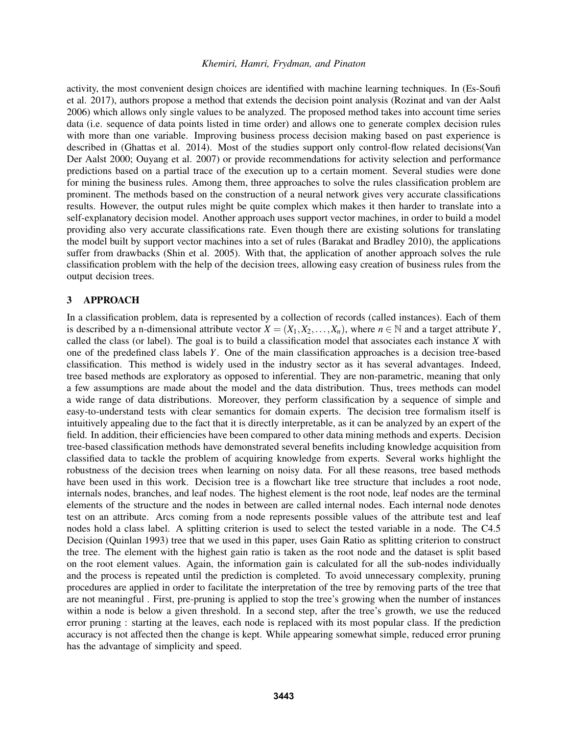activity, the most convenient design choices are identified with machine learning techniques. In (Es-Soufi et al. 2017), authors propose a method that extends the decision point analysis (Rozinat and van der Aalst 2006) which allows only single values to be analyzed. The proposed method takes into account time series data (i.e. sequence of data points listed in time order) and allows one to generate complex decision rules with more than one variable. Improving business process decision making based on past experience is described in (Ghattas et al. 2014). Most of the studies support only control-flow related decisions(Van Der Aalst 2000; Ouyang et al. 2007) or provide recommendations for activity selection and performance predictions based on a partial trace of the execution up to a certain moment. Several studies were done for mining the business rules. Among them, three approaches to solve the rules classification problem are prominent. The methods based on the construction of a neural network gives very accurate classifications results. However, the output rules might be quite complex which makes it then harder to translate into a self-explanatory decision model. Another approach uses support vector machines, in order to build a model providing also very accurate classifications rate. Even though there are existing solutions for translating the model built by support vector machines into a set of rules (Barakat and Bradley 2010), the applications suffer from drawbacks (Shin et al. 2005). With that, the application of another approach solves the rule classification problem with the help of the decision trees, allowing easy creation of business rules from the output decision trees.

### 3 APPROACH

In a classification problem, data is represented by a collection of records (called instances). Each of them is described by a n-dimensional attribute vector  $X = (X_1, X_2, \ldots, X_n)$ , where  $n \in \mathbb{N}$  and a target attribute *Y*, called the class (or label). The goal is to build a classification model that associates each instance *X* with one of the predefined class labels *Y*. One of the main classification approaches is a decision tree-based classification. This method is widely used in the industry sector as it has several advantages. Indeed, tree based methods are exploratory as opposed to inferential. They are non-parametric, meaning that only a few assumptions are made about the model and the data distribution. Thus, trees methods can model a wide range of data distributions. Moreover, they perform classification by a sequence of simple and easy-to-understand tests with clear semantics for domain experts. The decision tree formalism itself is intuitively appealing due to the fact that it is directly interpretable, as it can be analyzed by an expert of the field. In addition, their efficiencies have been compared to other data mining methods and experts. Decision tree-based classification methods have demonstrated several benefits including knowledge acquisition from classified data to tackle the problem of acquiring knowledge from experts. Several works highlight the robustness of the decision trees when learning on noisy data. For all these reasons, tree based methods have been used in this work. Decision tree is a flowchart like tree structure that includes a root node, internals nodes, branches, and leaf nodes. The highest element is the root node, leaf nodes are the terminal elements of the structure and the nodes in between are called internal nodes. Each internal node denotes test on an attribute. Arcs coming from a node represents possible values of the attribute test and leaf nodes hold a class label. A splitting criterion is used to select the tested variable in a node. The C4.5 Decision (Quinlan 1993) tree that we used in this paper, uses Gain Ratio as splitting criterion to construct the tree. The element with the highest gain ratio is taken as the root node and the dataset is split based on the root element values. Again, the information gain is calculated for all the sub-nodes individually and the process is repeated until the prediction is completed. To avoid unnecessary complexity, pruning procedures are applied in order to facilitate the interpretation of the tree by removing parts of the tree that are not meaningful . First, pre-pruning is applied to stop the tree's growing when the number of instances within a node is below a given threshold. In a second step, after the tree's growth, we use the reduced error pruning : starting at the leaves, each node is replaced with its most popular class. If the prediction accuracy is not affected then the change is kept. While appearing somewhat simple, reduced error pruning has the advantage of simplicity and speed.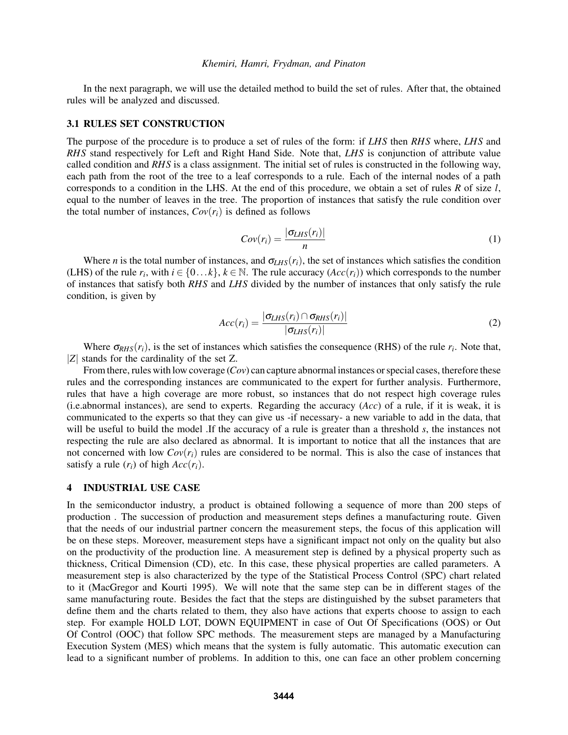In the next paragraph, we will use the detailed method to build the set of rules. After that, the obtained rules will be analyzed and discussed.

### 3.1 RULES SET CONSTRUCTION

The purpose of the procedure is to produce a set of rules of the form: if *LHS* then *RHS* where, *LHS* and *RHS* stand respectively for Left and Right Hand Side. Note that, *LHS* is conjunction of attribute value called condition and *RHS* is a class assignment. The initial set of rules is constructed in the following way, each path from the root of the tree to a leaf corresponds to a rule. Each of the internal nodes of a path corresponds to a condition in the LHS. At the end of this procedure, we obtain a set of rules *R* of size *l*, equal to the number of leaves in the tree. The proportion of instances that satisfy the rule condition over the total number of instances,  $Cov(r_i)$  is defined as follows

$$
Cov(r_i) = \frac{|\sigma_{LHS}(r_i)|}{n}
$$
 (1)

Where *n* is the total number of instances, and  $\sigma_{LHS}(r_i)$ , the set of instances which satisfies the condition (LHS) of the rule  $r_i$ , with  $i \in \{0...k\}$ ,  $k \in \mathbb{N}$ . The rule accuracy  $(Acc(r_i))$  which corresponds to the number of instances that satisfy both *RHS* and *LHS* divided by the number of instances that only satisfy the rule condition, is given by

$$
Acc(r_i) = \frac{|\sigma_{LHS}(r_i) \cap \sigma_{RHS}(r_i)|}{|\sigma_{LHS}(r_i)|}
$$
\n(2)

Where  $\sigma_{RHS}(r_i)$ , is the set of instances which satisfies the consequence (RHS) of the rule  $r_i$ . Note that, |*Z*| stands for the cardinality of the set Z.

From there, rules with low coverage (*Cov*) can capture abnormal instances or special cases, therefore these rules and the corresponding instances are communicated to the expert for further analysis. Furthermore, rules that have a high coverage are more robust, so instances that do not respect high coverage rules (i.e.abnormal instances), are send to experts. Regarding the accuracy (*Acc*) of a rule, if it is weak, it is communicated to the experts so that they can give us -if necessary- a new variable to add in the data, that will be useful to build the model .If the accuracy of a rule is greater than a threshold *s*, the instances not respecting the rule are also declared as abnormal. It is important to notice that all the instances that are not concerned with low  $Cov(r_i)$  rules are considered to be normal. This is also the case of instances that satisfy a rule  $(r_i)$  of high  $Acc(r_i)$ .

### 4 INDUSTRIAL USE CASE

In the semiconductor industry, a product is obtained following a sequence of more than 200 steps of production . The succession of production and measurement steps defines a manufacturing route. Given that the needs of our industrial partner concern the measurement steps, the focus of this application will be on these steps. Moreover, measurement steps have a significant impact not only on the quality but also on the productivity of the production line. A measurement step is defined by a physical property such as thickness, Critical Dimension (CD), etc. In this case, these physical properties are called parameters. A measurement step is also characterized by the type of the Statistical Process Control (SPC) chart related to it (MacGregor and Kourti 1995). We will note that the same step can be in different stages of the same manufacturing route. Besides the fact that the steps are distinguished by the subset parameters that define them and the charts related to them, they also have actions that experts choose to assign to each step. For example HOLD LOT, DOWN EQUIPMENT in case of Out Of Specifications (OOS) or Out Of Control (OOC) that follow SPC methods. The measurement steps are managed by a Manufacturing Execution System (MES) which means that the system is fully automatic. This automatic execution can lead to a significant number of problems. In addition to this, one can face an other problem concerning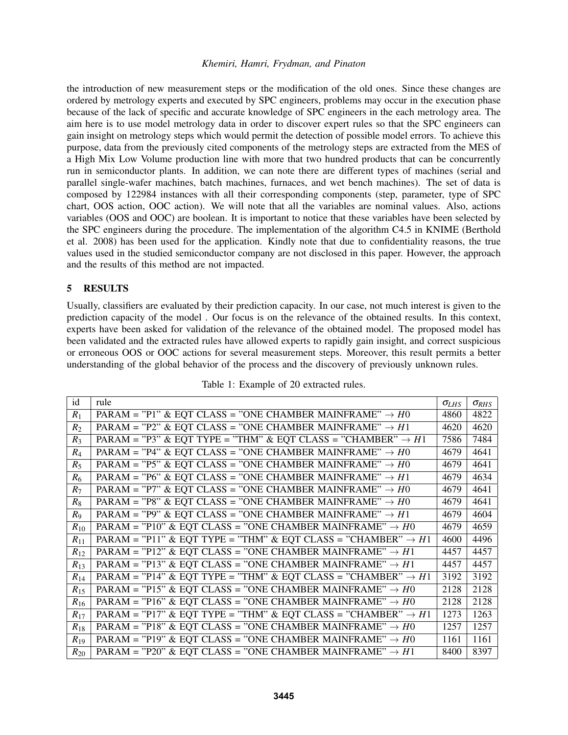the introduction of new measurement steps or the modification of the old ones. Since these changes are ordered by metrology experts and executed by SPC engineers, problems may occur in the execution phase because of the lack of specific and accurate knowledge of SPC engineers in the each metrology area. The aim here is to use model metrology data in order to discover expert rules so that the SPC engineers can gain insight on metrology steps which would permit the detection of possible model errors. To achieve this purpose, data from the previously cited components of the metrology steps are extracted from the MES of a High Mix Low Volume production line with more that two hundred products that can be concurrently run in semiconductor plants. In addition, we can note there are different types of machines (serial and parallel single-wafer machines, batch machines, furnaces, and wet bench machines). The set of data is composed by 122984 instances with all their corresponding components (step, parameter, type of SPC chart, OOS action, OOC action). We will note that all the variables are nominal values. Also, actions variables (OOS and OOC) are boolean. It is important to notice that these variables have been selected by the SPC engineers during the procedure. The implementation of the algorithm C4.5 in KNIME (Berthold et al. 2008) has been used for the application. Kindly note that due to confidentiality reasons, the true values used in the studied semiconductor company are not disclosed in this paper. However, the approach and the results of this method are not impacted.

## 5 RESULTS

Usually, classifiers are evaluated by their prediction capacity. In our case, not much interest is given to the prediction capacity of the model . Our focus is on the relevance of the obtained results. In this context, experts have been asked for validation of the relevance of the obtained model. The proposed model has been validated and the extracted rules have allowed experts to rapidly gain insight, and correct suspicious or erroneous OOS or OOC actions for several measurement steps. Moreover, this result permits a better understanding of the global behavior of the process and the discovery of previously unknown rules.

| id       | rule                                                                      | $\sigma_{LHS}$ | $\sigma_{RHS}$ |
|----------|---------------------------------------------------------------------------|----------------|----------------|
| $R_1$    | PARAM = "P1" & EQT CLASS = "ONE CHAMBER MAINFRAME" $\rightarrow$ H0       | 4860           | 4822           |
| $R_2$    | PARAM = "P2" & EQT CLASS = "ONE CHAMBER MAINFRAME" $\rightarrow H1$       | 4620           | 4620           |
| $R_3$    | PARAM = "P3" & EQT TYPE = "THM" & EQT CLASS = "CHAMBER" $\rightarrow H1$  | 7586           | 7484           |
| $R_4$    | PARAM = "P4" & EQT CLASS = "ONE CHAMBER MAINFRAME" $\rightarrow$ H0       | 4679           | 4641           |
| $R_5$    | PARAM = "P5" & EQT CLASS = "ONE CHAMBER MAINFRAME" $\rightarrow$ H0       | 4679           | 4641           |
| $R_6$    | PARAM = "P6" & EQT CLASS = "ONE CHAMBER MAINFRAME" $\rightarrow H1$       | 4679           | 4634           |
| $R_7$    | PARAM = "P7" & EQT CLASS = "ONE CHAMBER MAINFRAME" $\rightarrow$ H0       | 4679           | 4641           |
| $R_8$    | PARAM = "P8" & EQT CLASS = "ONE CHAMBER MAINFRAME" $\rightarrow$ H0       | 4679           | 4641           |
| $R_{9}$  | PARAM = "P9" & EQT CLASS = "ONE CHAMBER MAINFRAME" $\rightarrow H1$       | 4679           | 4604           |
| $R_{10}$ | PARAM = "P10" & EQT CLASS = "ONE CHAMBER MAINFRAME" $\rightarrow$ H0      | 4679           | 4659           |
| $R_{11}$ | PARAM = "P11" & EQT TYPE = "THM" & EQT CLASS = "CHAMBER" $\rightarrow$ H1 | 4600           | 4496           |
| $R_{12}$ | PARAM = "P12" & EQT CLASS = "ONE CHAMBER MAINFRAME" $\rightarrow H1$      | 4457           | 4457           |
| $R_{13}$ | PARAM = "P13" & EQT CLASS = "ONE CHAMBER MAINFRAME" $\rightarrow H1$      | 4457           | 4457           |
| $R_{14}$ | PARAM = "P14" & EQT TYPE = "THM" & EQT CLASS = "CHAMBER" $\rightarrow H1$ | 3192           | 3192           |
| $R_{15}$ | PARAM = "P15" & EQT CLASS = "ONE CHAMBER MAINFRAME" $\rightarrow$ H0      | 2128           | 2128           |
| $R_{16}$ | PARAM = "P16" & EQT CLASS = "ONE CHAMBER MAINFRAME" $\rightarrow$ H0      | 2128           | 2128           |
| $R_{17}$ | PARAM = "P17" & EQT TYPE = "THM" & EQT CLASS = "CHAMBER" $\rightarrow$ H1 | 1273           | 1263           |
| $R_{18}$ | PARAM = "P18" & EQT CLASS = "ONE CHAMBER MAINFRAME" $\rightarrow$ H0      | 1257           | 1257           |
| $R_{19}$ | PARAM = "P19" & EQT CLASS = "ONE CHAMBER MAINFRAME" $\rightarrow$ H0      | 1161           | 1161           |
| $R_{20}$ | PARAM = "P20" & EQT CLASS = "ONE CHAMBER MAINFRAME" $\rightarrow H1$      | 8400           | 8397           |

Table 1: Example of 20 extracted rules.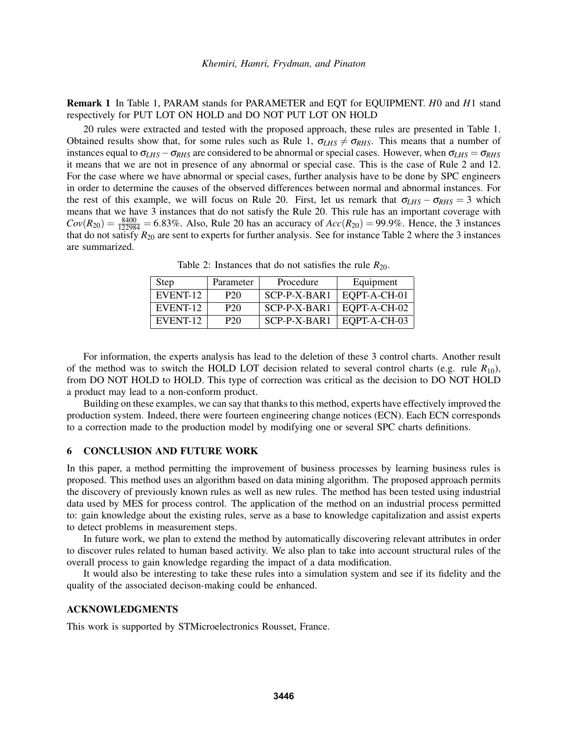Remark 1 In Table 1, PARAM stands for PARAMETER and EQT for EQUIPMENT. *H*0 and *H*1 stand respectively for PUT LOT ON HOLD and DO NOT PUT LOT ON HOLD

20 rules were extracted and tested with the proposed approach, these rules are presented in Table 1. Obtained results show that, for some rules such as Rule 1,  $\sigma_{LHS} \neq \sigma_{RHS}$ . This means that a number of instances equal to  $\sigma_{LHS} - \sigma_{RHS}$  are considered to be abnormal or special cases. However, when  $\sigma_{LHS} = \sigma_{RHS}$ it means that we are not in presence of any abnormal or special case. This is the case of Rule 2 and 12. For the case where we have abnormal or special cases, further analysis have to be done by SPC engineers in order to determine the causes of the observed differences between normal and abnormal instances. For the rest of this example, we will focus on Rule 20. First, let us remark that  $\sigma_{LHS} - \sigma_{RHS} = 3$  which means that we have 3 instances that do not satisfy the Rule 20. This rule has an important coverage with  $Cov(R_{20}) = \frac{8400}{122984} = 6.83\%$ . Also, Rule 20 has an accuracy of  $Acc(R_{20}) = 99.9\%$ . Hence, the 3 instances that do not satisfy  $R_{20}$  are sent to experts for further analysis. See for instance Table 2 where the 3 instances are summarized.

| Step     | Parameter       | Procedure    | Equipment    |
|----------|-----------------|--------------|--------------|
| EVENT-12 | P <sub>20</sub> | SCP-P-X-BAR1 | EQPT-A-CH-01 |
| EVENT-12 | P <sub>20</sub> | SCP-P-X-BAR1 | EQPT-A-CH-02 |
| EVENT-12 | P <sub>20</sub> | SCP-P-X-BAR1 | EQPT-A-CH-03 |

Table 2: Instances that do not satisfies the rule  $R_{20}$ .

For information, the experts analysis has lead to the deletion of these 3 control charts. Another result of the method was to switch the HOLD LOT decision related to several control charts (e.g. rule  $R_{10}$ ), from DO NOT HOLD to HOLD. This type of correction was critical as the decision to DO NOT HOLD a product may lead to a non-conform product.

Building on these examples, we can say that thanks to this method, experts have effectively improved the production system. Indeed, there were fourteen engineering change notices (ECN). Each ECN corresponds to a correction made to the production model by modifying one or several SPC charts definitions.

### 6 CONCLUSION AND FUTURE WORK

In this paper, a method permitting the improvement of business processes by learning business rules is proposed. This method uses an algorithm based on data mining algorithm. The proposed approach permits the discovery of previously known rules as well as new rules. The method has been tested using industrial data used by MES for process control. The application of the method on an industrial process permitted to: gain knowledge about the existing rules, serve as a base to knowledge capitalization and assist experts to detect problems in measurement steps.

In future work, we plan to extend the method by automatically discovering relevant attributes in order to discover rules related to human based activity. We also plan to take into account structural rules of the overall process to gain knowledge regarding the impact of a data modification.

It would also be interesting to take these rules into a simulation system and see if its fidelity and the quality of the associated decison-making could be enhanced.

### ACKNOWLEDGMENTS

This work is supported by STMicroelectronics Rousset, France.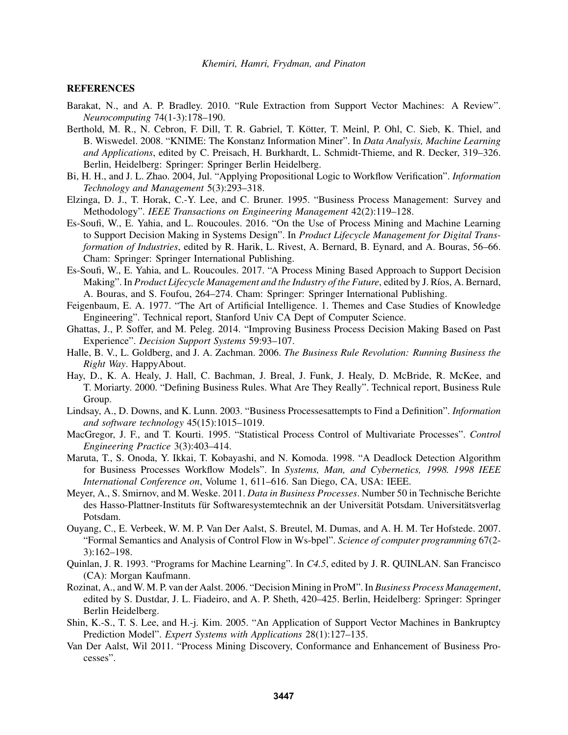### **REFERENCES**

- Barakat, N., and A. P. Bradley. 2010. "Rule Extraction from Support Vector Machines: A Review". *Neurocomputing* 74(1-3):178–190.
- Berthold, M. R., N. Cebron, F. Dill, T. R. Gabriel, T. Kötter, T. Meinl, P. Ohl, C. Sieb, K. Thiel, and B. Wiswedel. 2008. "KNIME: The Konstanz Information Miner". In *Data Analysis, Machine Learning and Applications*, edited by C. Preisach, H. Burkhardt, L. Schmidt-Thieme, and R. Decker, 319–326. Berlin, Heidelberg: Springer: Springer Berlin Heidelberg.
- Bi, H. H., and J. L. Zhao. 2004, Jul. "Applying Propositional Logic to Workflow Verification". *Information Technology and Management* 5(3):293–318.
- Elzinga, D. J., T. Horak, C.-Y. Lee, and C. Bruner. 1995. "Business Process Management: Survey and Methodology". *IEEE Transactions on Engineering Management* 42(2):119–128.
- Es-Soufi, W., E. Yahia, and L. Roucoules. 2016. "On the Use of Process Mining and Machine Learning to Support Decision Making in Systems Design". In *Product Lifecycle Management for Digital Transformation of Industries*, edited by R. Harik, L. Rivest, A. Bernard, B. Eynard, and A. Bouras, 56–66. Cham: Springer: Springer International Publishing.
- Es-Soufi, W., E. Yahia, and L. Roucoules. 2017. "A Process Mining Based Approach to Support Decision Making". In *Product Lifecycle Management and the Industry of the Future*, edited by J. Ríos, A. Bernard, A. Bouras, and S. Foufou, 264–274. Cham: Springer: Springer International Publishing.
- Feigenbaum, E. A. 1977. "The Art of Artificial Intelligence. 1. Themes and Case Studies of Knowledge Engineering". Technical report, Stanford Univ CA Dept of Computer Science.
- Ghattas, J., P. Soffer, and M. Peleg. 2014. "Improving Business Process Decision Making Based on Past Experience". *Decision Support Systems* 59:93–107.
- Halle, B. V., L. Goldberg, and J. A. Zachman. 2006. *The Business Rule Revolution: Running Business the Right Way*. HappyAbout.
- Hay, D., K. A. Healy, J. Hall, C. Bachman, J. Breal, J. Funk, J. Healy, D. McBride, R. McKee, and T. Moriarty. 2000. "Defining Business Rules. What Are They Really". Technical report, Business Rule Group.
- Lindsay, A., D. Downs, and K. Lunn. 2003. "Business Processesattempts to Find a Definition". *Information and software technology* 45(15):1015–1019.
- MacGregor, J. F., and T. Kourti. 1995. "Statistical Process Control of Multivariate Processes". *Control Engineering Practice* 3(3):403–414.
- Maruta, T., S. Onoda, Y. Ikkai, T. Kobayashi, and N. Komoda. 1998. "A Deadlock Detection Algorithm for Business Processes Workflow Models". In *Systems, Man, and Cybernetics, 1998. 1998 IEEE International Conference on*, Volume 1, 611–616. San Diego, CA, USA: IEEE.
- Meyer, A., S. Smirnov, and M. Weske. 2011. *Data in Business Processes*. Number 50 in Technische Berichte des Hasso-Plattner-Instituts für Softwaresystemtechnik an der Universität Potsdam. Universitätsverlag Potsdam.
- Ouyang, C., E. Verbeek, W. M. P. Van Der Aalst, S. Breutel, M. Dumas, and A. H. M. Ter Hofstede. 2007. "Formal Semantics and Analysis of Control Flow in Ws-bpel". *Science of computer programming* 67(2- 3):162–198.
- Quinlan, J. R. 1993. "Programs for Machine Learning". In *C4.5*, edited by J. R. QUINLAN. San Francisco (CA): Morgan Kaufmann.
- Rozinat, A., and W. M. P. van der Aalst. 2006. "Decision Mining in ProM". In *Business Process Management*, edited by S. Dustdar, J. L. Fiadeiro, and A. P. Sheth, 420–425. Berlin, Heidelberg: Springer: Springer Berlin Heidelberg.
- Shin, K.-S., T. S. Lee, and H.-j. Kim. 2005. "An Application of Support Vector Machines in Bankruptcy Prediction Model". *Expert Systems with Applications* 28(1):127–135.
- Van Der Aalst, Wil 2011. "Process Mining Discovery, Conformance and Enhancement of Business Processes".